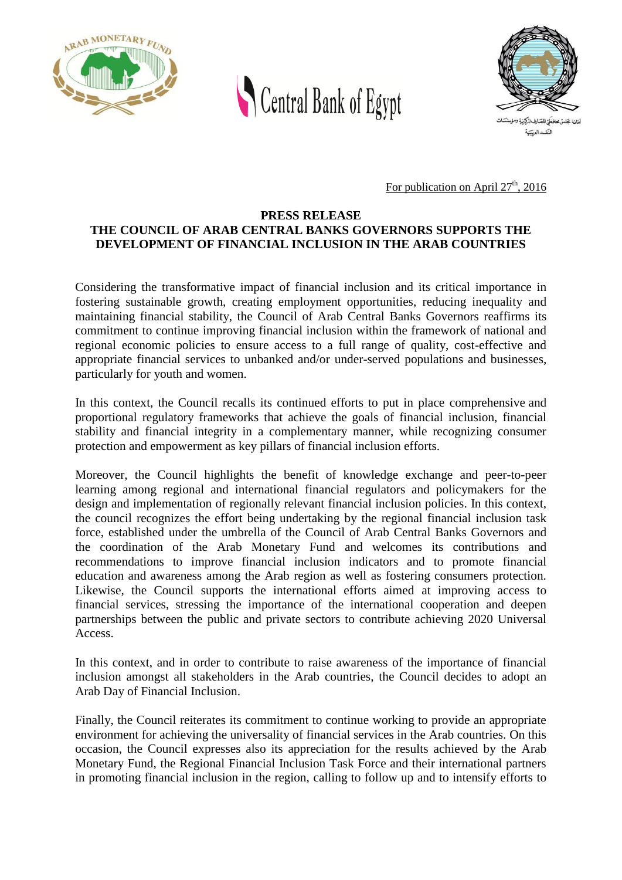



For publication on April  $27<sup>th</sup>$ , 2016

## **PRESS RELEASE THE COUNCIL OF ARAB CENTRAL BANKS GOVERNORS SUPPORTS THE DEVELOPMENT OF FINANCIAL INCLUSION IN THE ARAB COUNTRIES**

Considering the transformative impact of financial inclusion and its critical importance in fostering sustainable growth, creating employment opportunities, reducing inequality and maintaining financial stability, the Council of Arab Central Banks Governors reaffirms its commitment to continue improving financial inclusion within the framework of national and regional economic policies to ensure access to a full range of quality, cost-effective and appropriate financial services to unbanked and/or under-served populations and businesses, particularly for youth and women.

In this context, the Council recalls its continued efforts to put in place comprehensive and proportional regulatory frameworks that achieve the goals of financial inclusion, financial stability and financial integrity in a complementary manner, while recognizing consumer protection and empowerment as key pillars of financial inclusion efforts.

Moreover, the Council highlights the benefit of knowledge exchange and peer-to-peer learning among regional and international financial regulators and policymakers for the design and implementation of regionally relevant financial inclusion policies. In this context, the council recognizes the effort being undertaking by the regional financial inclusion task force, established under the umbrella of the Council of Arab Central Banks Governors and the coordination of the Arab Monetary Fund and welcomes its contributions and recommendations to improve financial inclusion indicators and to promote financial education and awareness among the Arab region as well as fostering consumers protection. Likewise, the Council supports the international efforts aimed at improving access to financial services, stressing the importance of the international cooperation and deepen partnerships between the public and private sectors to contribute achieving 2020 Universal Access.

In this context, and in order to contribute to raise awareness of the importance of financial inclusion amongst all stakeholders in the Arab countries, the Council decides to adopt an Arab Day of Financial Inclusion.

Finally, the Council reiterates its commitment to continue working to provide an appropriate environment for achieving the universality of financial services in the Arab countries. On this occasion, the Council expresses also its appreciation for the results achieved by the Arab Monetary Fund, the Regional Financial Inclusion Task Force and their international partners in promoting financial inclusion in the region, calling to follow up and to intensify efforts to